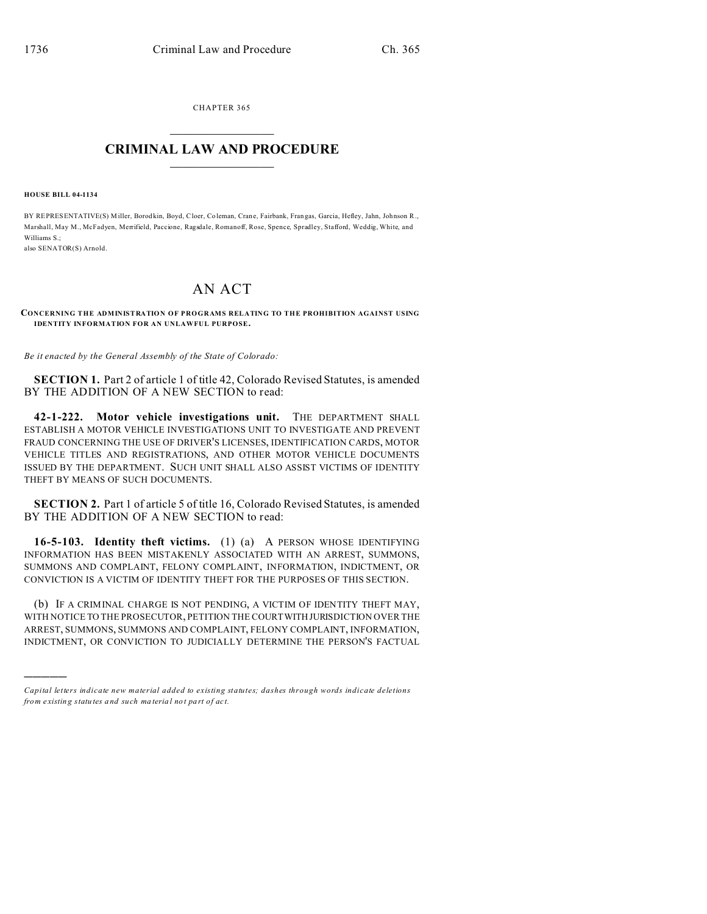CHAPTER 365  $\overline{\phantom{a}}$  , where  $\overline{\phantom{a}}$ 

## **CRIMINAL LAW AND PROCEDURE**  $\_$   $\_$   $\_$   $\_$   $\_$   $\_$   $\_$   $\_$   $\_$

**HOUSE BILL 04-1134**

)))))

BY REPRESENTATIVE(S) Miller, Borod kin, Boyd, Cloer, Co leman, Cran e, Fairbank, Fran gas, Garcia, Hefley, Jahn, Joh nson R., Marshall, May M., McFadyen, Merrifield, Paccione, Ragsdale, Romanoff, Rose, Spence, Spradley, Stafford, Weddig, White, and Williams S.; also SENATOR(S) Arnold.

## AN ACT

## **CONCERNING THE ADMINISTRATION OF PROGRAMS RELATING TO THE PROHIBITION AGAINST USING IDENTITY INFORMATION FOR AN UNLAWFUL PURPOSE.**

*Be it enacted by the General Assembly of the State of Colorado:*

**SECTION 1.** Part 2 of article 1 of title 42, Colorado Revised Statutes, is amended BY THE ADDITION OF A NEW SECTION to read:

**42-1-222. Motor vehicle investigations unit.** THE DEPARTMENT SHALL ESTABLISH A MOTOR VEHICLE INVESTIGATIONS UNIT TO INVESTIGATE AND PREVENT FRAUD CONCERNING THE USE OF DRIVER'S LICENSES, IDENTIFICATION CARDS, MOTOR VEHICLE TITLES AND REGISTRATIONS, AND OTHER MOTOR VEHICLE DOCUMENTS ISSUED BY THE DEPARTMENT. SUCH UNIT SHALL ALSO ASSIST VICTIMS OF IDENTITY THEFT BY MEANS OF SUCH DOCUMENTS.

**SECTION 2.** Part 1 of article 5 of title 16, Colorado Revised Statutes, is amended BY THE ADDITION OF A NEW SECTION to read:

**16-5-103. Identity theft victims.** (1) (a) A PERSON WHOSE IDENTIFYING INFORMATION HAS BEEN MISTAKENLY ASSOCIATED WITH AN ARREST, SUMMONS, SUMMONS AND COMPLAINT, FELONY COMPLAINT, INFORMATION, INDICTMENT, OR CONVICTION IS A VICTIM OF IDENTITY THEFT FOR THE PURPOSES OF THIS SECTION.

(b) IF A CRIMINAL CHARGE IS NOT PENDING, A VICTIM OF IDENTITY THEFT MAY, WITH NOTICE TO THE PROSECUTOR, PETITION THE COURTWITH JURISDICTION OVER THE ARREST, SUMMONS, SUMMONS AND COMPLAINT, FELONY COMPLAINT, INFORMATION, INDICTMENT, OR CONVICTION TO JUDICIALLY DETERMINE THE PERSON'S FACTUAL

*Capital letters indicate new material added to existing statutes; dashes through words indicate deletions from e xistin g statu tes a nd such ma teria l no t pa rt of ac t.*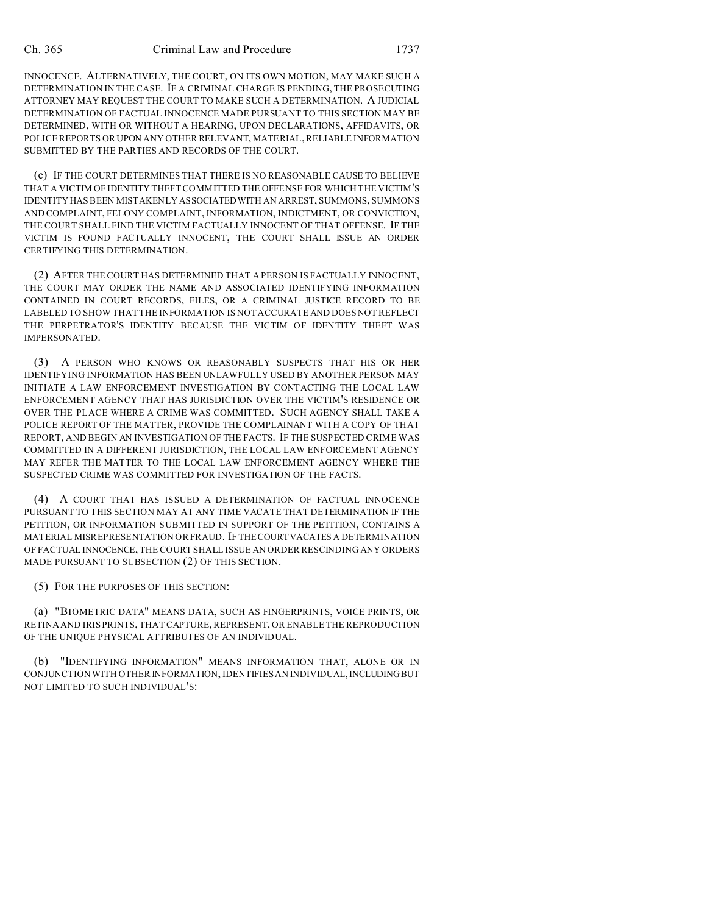INNOCENCE. ALTERNATIVELY, THE COURT, ON ITS OWN MOTION, MAY MAKE SUCH A DETERMINATION IN THE CASE. IF A CRIMINAL CHARGE IS PENDING, THE PROSECUTING ATTORNEY MAY REQUEST THE COURT TO MAKE SUCH A DETERMINATION. A JUDICIAL DETERMINATION OF FACTUAL INNOCENCE MADE PURSUANT TO THIS SECTION MAY BE DETERMINED, WITH OR WITHOUT A HEARING, UPON DECLARATIONS, AFFIDAVITS, OR POLICE REPORTS OR UPON ANY OTHER RELEVANT, MATERIAL, RELIABLE INFORMATION SUBMITTED BY THE PARTIES AND RECORDS OF THE COURT.

(c) IF THE COURT DETERMINES THAT THERE IS NO REASONABLE CAUSE TO BELIEVE THAT A VICTIM OF IDENTITY THEFT COMMITTED THE OFFENSE FOR WHICH THE VICTIM'S IDENTITY HAS BEEN MISTAKENLY ASSOCIATEDWITH AN ARREST, SUMMONS, SUMMONS AND COMPLAINT, FELONY COMPLAINT, INFORMATION, INDICTMENT, OR CONVICTION, THE COURT SHALL FIND THE VICTIM FACTUALLY INNOCENT OF THAT OFFENSE. IF THE VICTIM IS FOUND FACTUALLY INNOCENT, THE COURT SHALL ISSUE AN ORDER CERTIFYING THIS DETERMINATION.

(2) AFTER THE COURT HAS DETERMINED THAT A PERSON IS FACTUALLY INNOCENT, THE COURT MAY ORDER THE NAME AND ASSOCIATED IDENTIFYING INFORMATION CONTAINED IN COURT RECORDS, FILES, OR A CRIMINAL JUSTICE RECORD TO BE LABELED TO SHOW THAT THE INFORMATION IS NOT ACCURATE AND DOESNOT REFLECT THE PERPETRATOR'S IDENTITY BECAUSE THE VICTIM OF IDENTITY THEFT WAS IMPERSONATED.

(3) A PERSON WHO KNOWS OR REASONABLY SUSPECTS THAT HIS OR HER IDENTIFYING INFORMATION HAS BEEN UNLAWFULLY USED BY ANOTHER PERSON MAY INITIATE A LAW ENFORCEMENT INVESTIGATION BY CONTACTING THE LOCAL LAW ENFORCEMENT AGENCY THAT HAS JURISDICTION OVER THE VICTIM'S RESIDENCE OR OVER THE PLACE WHERE A CRIME WAS COMMITTED. SUCH AGENCY SHALL TAKE A POLICE REPORT OF THE MATTER, PROVIDE THE COMPLAINANT WITH A COPY OF THAT REPORT, AND BEGIN AN INVESTIGATION OF THE FACTS. IF THE SUSPECTED CRIME WAS COMMITTED IN A DIFFERENT JURISDICTION, THE LOCAL LAW ENFORCEMENT AGENCY MAY REFER THE MATTER TO THE LOCAL LAW ENFORCEMENT AGENCY WHERE THE SUSPECTED CRIME WAS COMMITTED FOR INVESTIGATION OF THE FACTS.

(4) A COURT THAT HAS ISSUED A DETERMINATION OF FACTUAL INNOCENCE PURSUANT TO THIS SECTION MAY AT ANY TIME VACATE THAT DETERMINATION IF THE PETITION, OR INFORMATION SUBMITTED IN SUPPORT OF THE PETITION, CONTAINS A MATERIAL MISREPRESENTATION OR FRAUD. IF THECOURTVACATES A DETERMINATION OF FACTUAL INNOCENCE, THE COURT SHALL ISSUE AN ORDER RESCINDING ANY ORDERS MADE PURSUANT TO SUBSECTION (2) OF THIS SECTION.

(5) FOR THE PURPOSES OF THIS SECTION:

(a) "BIOMETRIC DATA" MEANS DATA, SUCH AS FINGERPRINTS, VOICE PRINTS, OR RETINA AND IRIS PRINTS, THAT CAPTURE, REPRESENT, OR ENABLE THE REPRODUCTION OF THE UNIQUE PHYSICAL ATTRIBUTES OF AN INDIVIDUAL.

(b) "IDENTIFYING INFORMATION" MEANS INFORMATION THAT, ALONE OR IN CONJUNCTION WITH OTHER INFORMATION, IDENTIFIES AN INDIVIDUAL, INCLUDING BUT NOT LIMITED TO SUCH INDIVIDUAL'S: